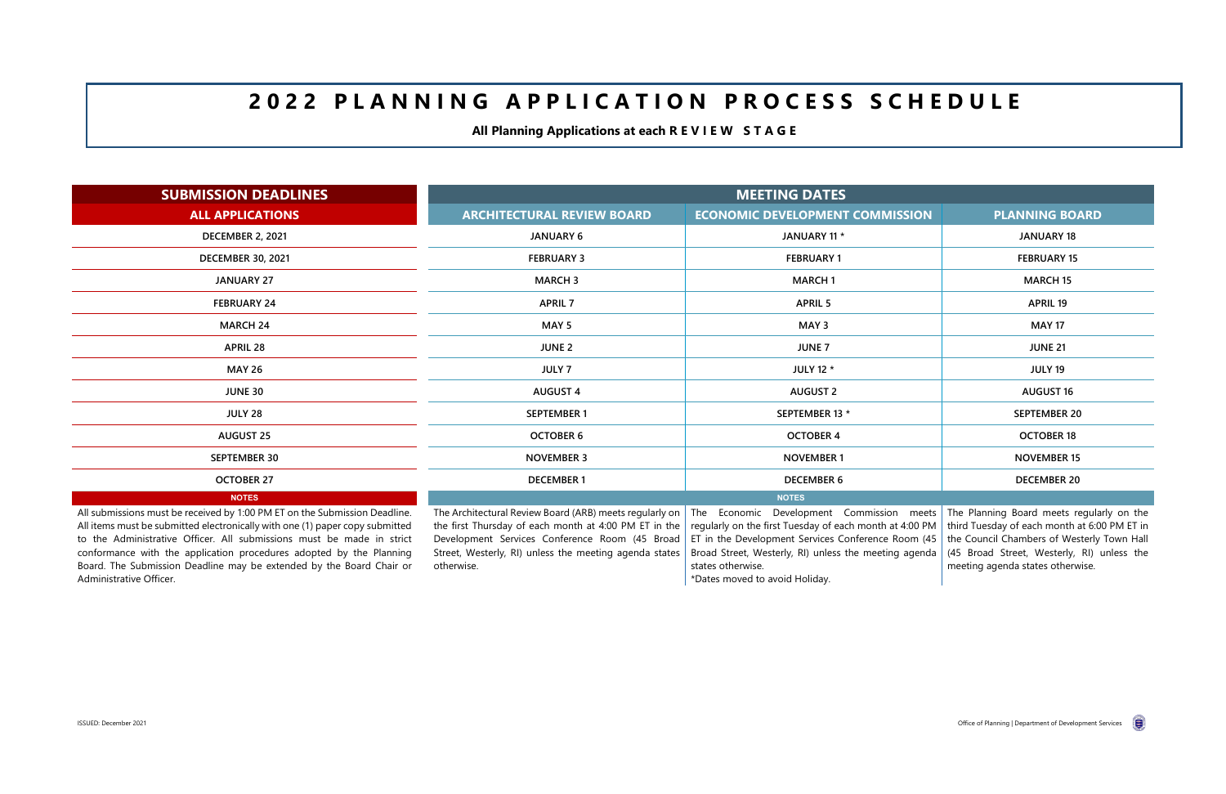# **2 0 2 2 P L A N N I N G A P P L I C A T I O N P R O C E S S S C H E D U L E**

**All Planning Applications at each R E V I E W S T A G E** 

| <b>SUBMISSION DEADLINES</b>                                                                                                                                                                                                                                                                                | <b>MEETING DATES</b>                                                                                                                                                                                                         |                                                                                                                                                                                                                             |                                                                                                                                                                                       |  |  |  |
|------------------------------------------------------------------------------------------------------------------------------------------------------------------------------------------------------------------------------------------------------------------------------------------------------------|------------------------------------------------------------------------------------------------------------------------------------------------------------------------------------------------------------------------------|-----------------------------------------------------------------------------------------------------------------------------------------------------------------------------------------------------------------------------|---------------------------------------------------------------------------------------------------------------------------------------------------------------------------------------|--|--|--|
| <b>ALL APPLICATIONS</b>                                                                                                                                                                                                                                                                                    | <b>ARCHITECTURAL REVIEW BOARD</b>                                                                                                                                                                                            | <b>ECONOMIC DEVELOPMENT COMMISSION</b>                                                                                                                                                                                      | <b>PLANNING BOARD</b>                                                                                                                                                                 |  |  |  |
| <b>DECEMBER 2, 2021</b>                                                                                                                                                                                                                                                                                    | <b>JANUARY 6</b>                                                                                                                                                                                                             | JANUARY 11 *                                                                                                                                                                                                                | <b>JANUARY 18</b>                                                                                                                                                                     |  |  |  |
| <b>DECEMBER 30, 2021</b>                                                                                                                                                                                                                                                                                   | <b>FEBRUARY 3</b>                                                                                                                                                                                                            | <b>FEBRUARY 1</b>                                                                                                                                                                                                           | <b>FEBRUARY 15</b>                                                                                                                                                                    |  |  |  |
| <b>JANUARY 27</b>                                                                                                                                                                                                                                                                                          | <b>MARCH 3</b>                                                                                                                                                                                                               | <b>MARCH1</b>                                                                                                                                                                                                               | <b>MARCH 15</b>                                                                                                                                                                       |  |  |  |
| <b>FEBRUARY 24</b>                                                                                                                                                                                                                                                                                         | <b>APRIL 7</b>                                                                                                                                                                                                               | <b>APRIL 5</b>                                                                                                                                                                                                              | <b>APRIL 19</b>                                                                                                                                                                       |  |  |  |
| <b>MARCH 24</b>                                                                                                                                                                                                                                                                                            | MAY <sub>5</sub>                                                                                                                                                                                                             | MAY 3                                                                                                                                                                                                                       | <b>MAY 17</b>                                                                                                                                                                         |  |  |  |
| <b>APRIL 28</b>                                                                                                                                                                                                                                                                                            | <b>JUNE 2</b>                                                                                                                                                                                                                | <b>JUNE 7</b>                                                                                                                                                                                                               | <b>JUNE 21</b>                                                                                                                                                                        |  |  |  |
| <b>MAY 26</b>                                                                                                                                                                                                                                                                                              | <b>JULY 7</b>                                                                                                                                                                                                                | <b>JULY 12 *</b>                                                                                                                                                                                                            | <b>JULY 19</b>                                                                                                                                                                        |  |  |  |
| <b>JUNE 30</b>                                                                                                                                                                                                                                                                                             | <b>AUGUST 4</b>                                                                                                                                                                                                              | <b>AUGUST 2</b>                                                                                                                                                                                                             | <b>AUGUST 16</b>                                                                                                                                                                      |  |  |  |
| <b>JULY 28</b>                                                                                                                                                                                                                                                                                             | <b>SEPTEMBER 1</b>                                                                                                                                                                                                           | SEPTEMBER 13 *                                                                                                                                                                                                              | <b>SEPTEMBER 20</b>                                                                                                                                                                   |  |  |  |
| <b>AUGUST 25</b>                                                                                                                                                                                                                                                                                           | <b>OCTOBER 6</b>                                                                                                                                                                                                             | <b>OCTOBER 4</b>                                                                                                                                                                                                            | <b>OCTOBER 18</b>                                                                                                                                                                     |  |  |  |
| <b>SEPTEMBER 30</b>                                                                                                                                                                                                                                                                                        | <b>NOVEMBER 3</b>                                                                                                                                                                                                            | <b>NOVEMBER 1</b>                                                                                                                                                                                                           | <b>NOVEMBER 15</b>                                                                                                                                                                    |  |  |  |
| <b>OCTOBER 27</b>                                                                                                                                                                                                                                                                                          | <b>DECEMBER 1</b>                                                                                                                                                                                                            | <b>DECEMBER 6</b>                                                                                                                                                                                                           | <b>DECEMBER 20</b>                                                                                                                                                                    |  |  |  |
| <b>NOTES</b>                                                                                                                                                                                                                                                                                               |                                                                                                                                                                                                                              | <b>NOTES</b>                                                                                                                                                                                                                |                                                                                                                                                                                       |  |  |  |
| All submissions must be received by 1:00 PM ET on the Submission Deadline.<br>All items must be submitted electronically with one (1) paper copy submitted<br>to the Administrative Officer. All submissions must be made in strict<br>conformance with the application procedures adopted by the Planning | The Architectural Review Board (ARB) meets regularly on<br>the first Thursday of each month at 4:00 PM ET in the<br>Development Services Conference Room (45 Broad<br>Street, Westerly, RI) unless the meeting agenda states | The Economic Development Commission meets<br>regularly on the first Tuesday of each month at 4:00 PM $\vert$<br>ET in the Development Services Conference Room (45<br>Broad Street, Westerly, RI) unless the meeting agenda | The Planning Board meets regularly on the<br>third Tuesday of each month at 6:00 PM ET in<br>the Council Chambers of Westerly Town Hall<br>(45 Broad Street, Westerly, RI) unless the |  |  |  |

conformance with the application procedures adopted by the Planning Board. The Submission Deadline may be extended by the Board Chair or Administrative Officer.

Street, Westerly, RI) unless the meeting agenda states otherwise.

Broad Street, Westerly, RI) unless the meeting agenda states otherwise.

\*Dates moved to avoid Holiday.

meeting agenda states otherwise.